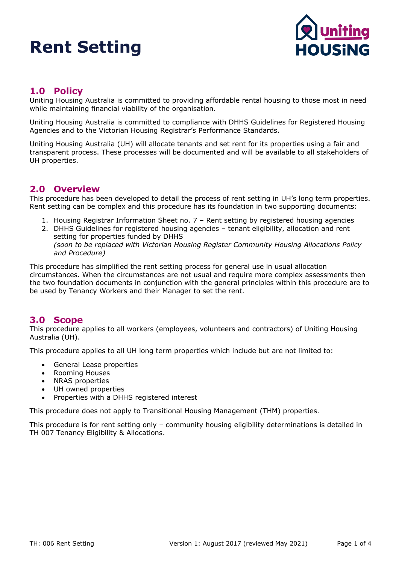

## **1.0 Policy**

Uniting Housing Australia is committed to providing affordable rental housing to those most in need while maintaining financial viability of the organisation.

Uniting Housing Australia is committed to compliance with DHHS Guidelines for Registered Housing Agencies and to the Victorian Housing Registrar's Performance Standards.

Uniting Housing Australia (UH) will allocate tenants and set rent for its properties using a fair and transparent process. These processes will be documented and will be available to all stakeholders of UH properties.

### **2.0 Overview**

This procedure has been developed to detail the process of rent setting in UH's long term properties. Rent setting can be complex and this procedure has its foundation in two supporting documents:

- 1. Housing Registrar Information Sheet no. 7 Rent setting by registered housing agencies
- 2. DHHS Guidelines for registered housing agencies tenant eligibility, allocation and rent setting for properties funded by DHHS *(soon to be replaced with Victorian Housing Register Community Housing Allocations Policy and Procedure)*

This procedure has simplified the rent setting process for general use in usual allocation circumstances. When the circumstances are not usual and require more complex assessments then the two foundation documents in conjunction with the general principles within this procedure are to be used by Tenancy Workers and their Manager to set the rent.

### **3.0 Scope**

This procedure applies to all workers (employees, volunteers and contractors) of Uniting Housing Australia (UH).

This procedure applies to all UH long term properties which include but are not limited to:

- General Lease properties
- Rooming Houses
- NRAS properties
- UH owned properties
- Properties with a DHHS registered interest

This procedure does not apply to Transitional Housing Management (THM) properties.

This procedure is for rent setting only – community housing eligibility determinations is detailed in TH 007 Tenancy Eligibility & Allocations.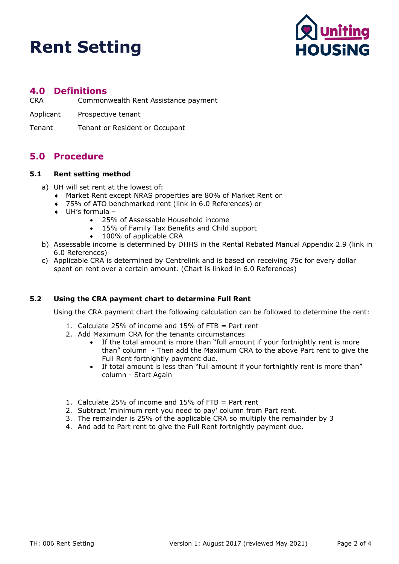

### **4.0 Definitions**

- CRA Commonwealth Rent Assistance payment
- Applicant Prospective tenant
- Tenant Tenant or Resident or Occupant

### **5.0 Procedure**

#### **5.1 Rent setting method**

- a) UH will set rent at the lowest of:
	- ♦ Market Rent except NRAS properties are 80% of Market Rent or
	- ♦ 75% of ATO benchmarked rent (link in 6.0 References) or
	- ♦ UH's formula
		- 25% of Assessable Household income
		- 15% of Family Tax Benefits and Child support
		- 100% of applicable CRA
- b) Assessable income is determined by DHHS in the Rental Rebated Manual Appendix 2.9 (link in 6.0 References)
- c) Applicable CRA is determined by Centrelink and is based on receiving 75c for every dollar spent on rent over a certain amount. (Chart is linked in 6.0 References)

### **5.2 Using the CRA payment chart to determine Full Rent**

Using the CRA payment chart the following calculation can be followed to determine the rent:

- 1. Calculate 25% of income and 15% of FTB = Part rent
- 2. Add Maximum CRA for the tenants circumstances
	- If the total amount is more than "full amount if your fortnightly rent is more than" column - Then add the Maximum CRA to the above Part rent to give the Full Rent fortnightly payment due.
	- If total amount is less than "full amount if your fortnightly rent is more than" column - Start Again
- 1. Calculate 25% of income and 15% of FTB = Part rent
- 2. Subtract 'minimum rent you need to pay' column from Part rent.
- 3. The remainder is 25% of the applicable CRA so multiply the remainder by 3
- 4. And add to Part rent to give the Full Rent fortnightly payment due.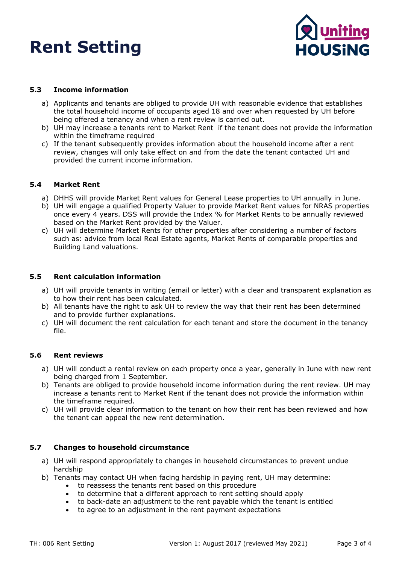

### **5.3 Income information**

- a) Applicants and tenants are obliged to provide UH with reasonable evidence that establishes the total household income of occupants aged 18 and over when requested by UH before being offered a tenancy and when a rent review is carried out.
- b) UH may increase a tenants rent to Market Rent if the tenant does not provide the information within the timeframe required
- c) If the tenant subsequently provides information about the household income after a rent review, changes will only take effect on and from the date the tenant contacted UH and provided the current income information.

### **5.4 Market Rent**

- a) DHHS will provide Market Rent values for General Lease properties to UH annually in June.
- b) UH will engage a qualified Property Valuer to provide Market Rent values for NRAS properties once every 4 years. DSS will provide the Index % for Market Rents to be annually reviewed based on the Market Rent provided by the Valuer.
- c) UH will determine Market Rents for other properties after considering a number of factors such as: advice from local Real Estate agents, Market Rents of comparable properties and Building Land valuations.

### **5.5 Rent calculation information**

- a) UH will provide tenants in writing (email or letter) with a clear and transparent explanation as to how their rent has been calculated.
- b) All tenants have the right to ask UH to review the way that their rent has been determined and to provide further explanations.
- c) UH will document the rent calculation for each tenant and store the document in the tenancy file.

### **5.6 Rent reviews**

- a) UH will conduct a rental review on each property once a year, generally in June with new rent being charged from 1 September.
- b) Tenants are obliged to provide household income information during the rent review. UH may increase a tenants rent to Market Rent if the tenant does not provide the information within the timeframe required.
- c) UH will provide clear information to the tenant on how their rent has been reviewed and how the tenant can appeal the new rent determination.

### **5.7 Changes to household circumstance**

- a) UH will respond appropriately to changes in household circumstances to prevent undue hardship
- b) Tenants may contact UH when facing hardship in paying rent, UH may determine:
	- to reassess the tenants rent based on this procedure
	- to determine that a different approach to rent setting should apply
	- to back-date an adjustment to the rent payable which the tenant is entitled
	- to agree to an adjustment in the rent payment expectations